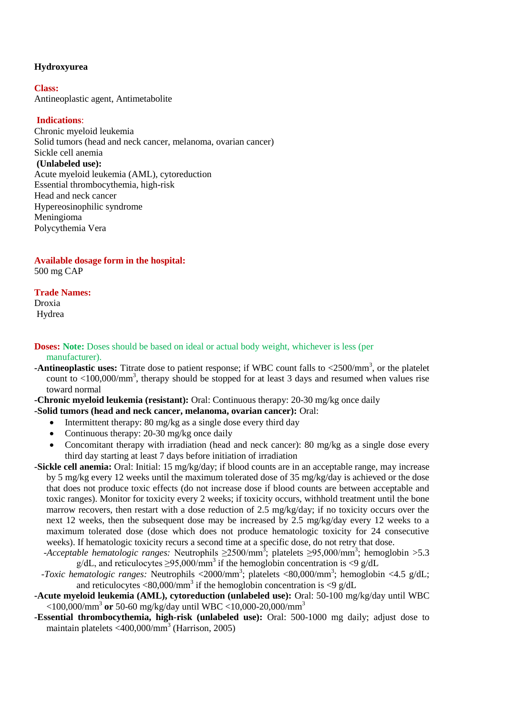# **Hydroxyurea**

**Class:**  Antineoplastic agent, Antimetabolite

# **Indications**:

Chronic myeloid leukemia Solid tumors (head and neck cancer, melanoma, ovarian cancer) Sickle cell anemia **(Unlabeled use):** Acute myeloid leukemia (AML), cytoreduction Essential thrombocythemia, high-risk Head and neck cancer Hypereosinophilic syndrome Meningioma Polycythemia Vera

**Available dosage form in the hospital:** 500 mg CAP

#### **Trade Names:**

Droxia Hydrea

### **Doses:** Note: Doses should be based on ideal or actual body weight, whichever is less (per manufacturer).

**-Antineoplastic uses:** Titrate dose to patient response; if WBC count falls to <2500/mm<sup>3</sup>, or the platelet count to <100,000/mm<sup>3</sup>, therapy should be stopped for at least 3 days and resumed when values rise toward normal

**-Chronic myeloid leukemia (resistant):** Oral: Continuous therapy: 20-30 mg/kg once daily

### **-Solid tumors (head and neck cancer, melanoma, ovarian cancer):** Oral:

- Intermittent therapy: 80 mg/kg as a single dose every third day
- Continuous therapy: 20-30 mg/kg once daily
- Concomitant therapy with irradiation (head and neck cancer): 80 mg/kg as a single dose every third day starting at least 7 days before initiation of irradiation
- **-Sickle cell anemia:** Oral: Initial: 15 mg/kg/day; if blood counts are in an acceptable range, may increase by 5 mg/kg every 12 weeks until the maximum tolerated dose of 35 mg/kg/day is achieved or the dose that does not produce toxic effects (do not increase dose if blood counts are between acceptable and toxic ranges). Monitor for toxicity every 2 weeks; if toxicity occurs, withhold treatment until the bone marrow recovers, then restart with a dose reduction of 2.5 mg/kg/day; if no toxicity occurs over the next 12 weeks, then the subsequent dose may be increased by 2.5 mg/kg/day every 12 weeks to a maximum tolerated dose (dose which does not produce hematologic toxicity for 24 consecutive weeks). If hematologic toxicity recurs a second time at a specific dose, do not retry that dose.
- $\cdot$ *Acceptable hematologic ranges:* Neutrophils  $\geq$ 2500/mm<sup>3</sup>; platelets  $\geq$ 95,000/mm<sup>3</sup>; hemoglobin >5.3  $g/dL$ , and reticulocytes  $\geq$ 95,000/mm<sup>3</sup> if the hemoglobin concentration is <9 g/dL
- -Toxic hematologic ranges: Neutrophils <2000/mm<sup>3</sup>; platelets <80,000/mm<sup>3</sup>; hemoglobin <4.5 g/dL; and reticulocytes <80,000/mm<sup>3</sup> if the hemoglobin concentration is <9 g/dL
- **-Acute myeloid leukemia (AML), cytoreduction (unlabeled use):** Oral: 50-100 mg/kg/day until WBC <100,000/mm<sup>3</sup> **or** 50-60 mg/kg/day until WBC <10,000-20,000/mm<sup>3</sup>
- **-Essential thrombocythemia, high-risk (unlabeled use):** Oral: 500-1000 mg daily; adjust dose to maintain platelets <400,000/mm<sup>3</sup> (Harrison, 2005)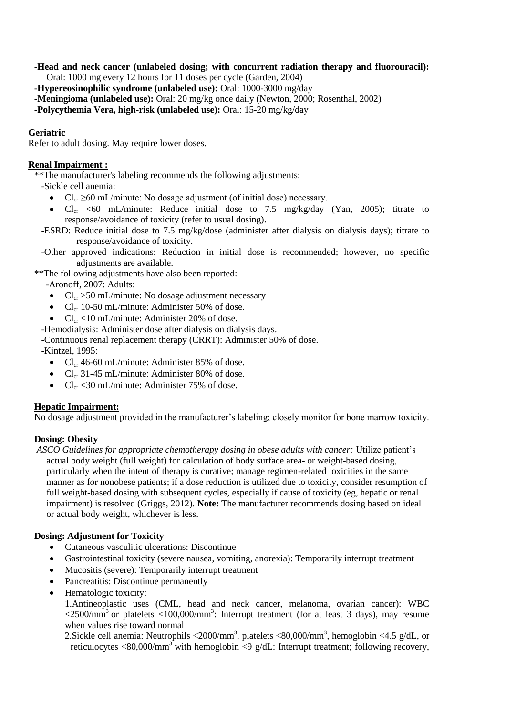**-Head and neck cancer (unlabeled dosing; with concurrent radiation therapy and fluorouracil):** Oral: 1000 mg every 12 hours for 11 doses per cycle (Garden, 2004)

**-Hypereosinophilic syndrome (unlabeled use):** Oral: 1000-3000 mg/day

**-Meningioma (unlabeled use):** Oral: 20 mg/kg once daily (Newton, 2000; Rosenthal, 2002)

**-Polycythemia Vera, high-risk (unlabeled use):** Oral: 15-20 mg/kg/day

### **Geriatric**

Refer to adult dosing. May require lower doses.

### **Renal Impairment :**

\*\*The manufacturer's labeling recommends the following adjustments:

-Sickle cell anemia:

- $Cl_{cr} \geq 60$  mL/minute: No dosage adjustment (of initial dose) necessary.
- $Cl_{cr}$  <60 mL/minute: Reduce initial dose to 7.5 mg/kg/day (Yan, 2005); titrate to response/avoidance of toxicity (refer to usual dosing).
- -ESRD: Reduce initial dose to 7.5 mg/kg/dose (administer after dialysis on dialysis days); titrate to response/avoidance of toxicity.
- -Other approved indications: Reduction in initial dose is recommended; however, no specific adjustments are available.

\*\*The following adjustments have also been reported:

-Aronoff, 2007: Adults:

- $Cl_{cr} > 50$  mL/minute: No dosage adjustment necessary
- $Cl_{cr}$  10-50 mL/minute: Administer 50% of dose.
- $Cl_{cr}$  <10 mL/minute: Administer 20% of dose.

-Hemodialysis: Administer dose after dialysis on dialysis days.

-Continuous renal replacement therapy (CRRT): Administer 50% of dose.

-Kintzel, 1995:

- $Cl_{cr}$  46-60 mL/minute: Administer 85% of dose.
- $Cl_{cr}$  31-45 mL/minute: Administer 80% of dose.
- $Cl_{cr}$  <30 mL/minute: Administer 75% of dose.

# **Hepatic Impairment:**

No dosage adjustment provided in the manufacturer's labeling; closely monitor for bone marrow toxicity.

# **Dosing: Obesity**

*ASCO Guidelines for appropriate chemotherapy dosing in obese adults with cancer:* Utilize patient's actual body weight (full weight) for calculation of body surface area- or weight-based dosing, particularly when the intent of therapy is curative; manage regimen-related toxicities in the same manner as for nonobese patients; if a dose reduction is utilized due to toxicity, consider resumption of full weight-based dosing with subsequent cycles, especially if cause of toxicity (eg, hepatic or renal impairment) is resolved (Griggs, 2012). **Note:** The manufacturer recommends dosing based on ideal or actual body weight, whichever is less.

# **Dosing: Adjustment for Toxicity**

- Cutaneous vasculitic ulcerations: Discontinue
- Gastrointestinal toxicity (severe nausea, vomiting, anorexia): Temporarily interrupt treatment
- Mucositis (severe): Temporarily interrupt treatment
- Pancreatitis: Discontinue permanently
- Hematologic toxicity:

1.Antineoplastic uses (CML, head and neck cancer, melanoma, ovarian cancer): WBC  $\langle 2500/\text{mm}^3$  or platelets  $\langle 100,000/\text{mm}^3$ : Interrupt treatment (for at least 3 days), may resume when values rise toward normal

2. Sickle cell anemia: Neutrophils  $\langle 2000/\text{mm}^3$ , platelets  $\langle 80,000/\text{mm}^3$ , hemoglobin  $\langle 4.5 \text{ g/dL}$ , or reticulocytes <80,000/mm<sup>3</sup> with hemoglobin <9 g/dL: Interrupt treatment; following recovery,